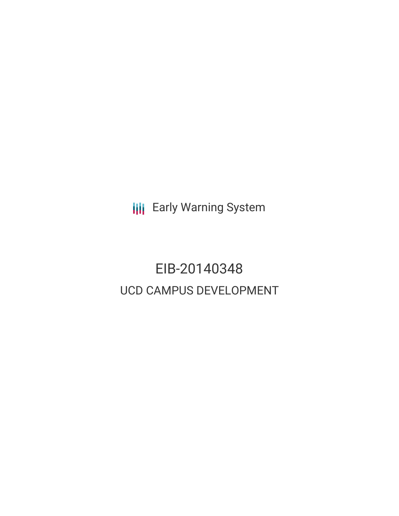**III** Early Warning System

# EIB-20140348 UCD CAMPUS DEVELOPMENT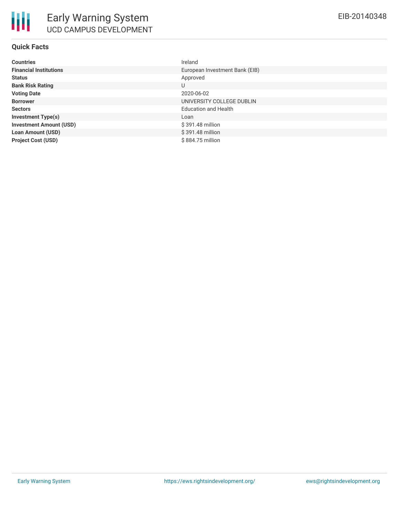# **Quick Facts**

| <b>Countries</b>               | Ireland                        |
|--------------------------------|--------------------------------|
| <b>Financial Institutions</b>  | European Investment Bank (EIB) |
| <b>Status</b>                  | Approved                       |
| <b>Bank Risk Rating</b>        | U                              |
| <b>Voting Date</b>             | 2020-06-02                     |
| <b>Borrower</b>                | UNIVERSITY COLLEGE DUBLIN      |
| <b>Sectors</b>                 | <b>Education and Health</b>    |
| <b>Investment Type(s)</b>      | Loan                           |
| <b>Investment Amount (USD)</b> | \$391.48 million               |
| <b>Loan Amount (USD)</b>       | \$391.48 million               |
| <b>Project Cost (USD)</b>      | \$884.75 million               |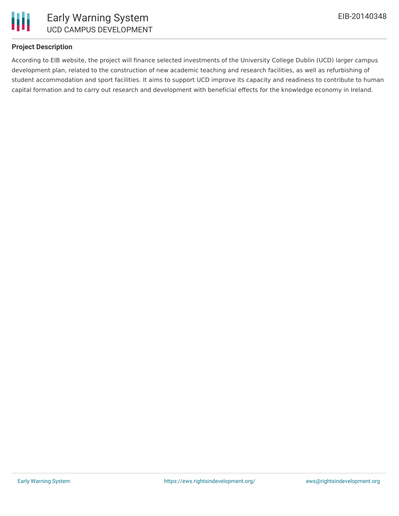

# **Project Description**

According to EIB website, the project will finance selected investments of the University College Dublin (UCD) larger campus development plan, related to the construction of new academic teaching and research facilities, as well as refurbishing of student accommodation and sport facilities. It aims to support UCD improve its capacity and readiness to contribute to human capital formation and to carry out research and development with beneficial effects for the knowledge economy in Ireland.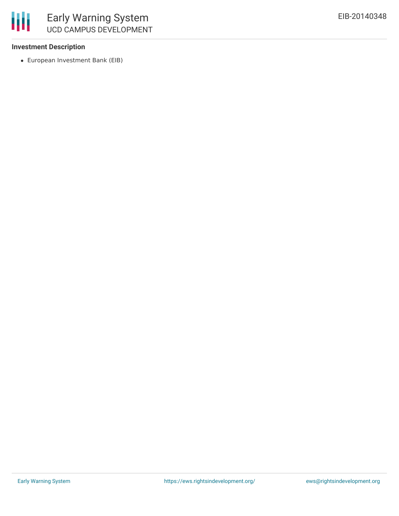

## **Investment Description**

European Investment Bank (EIB)